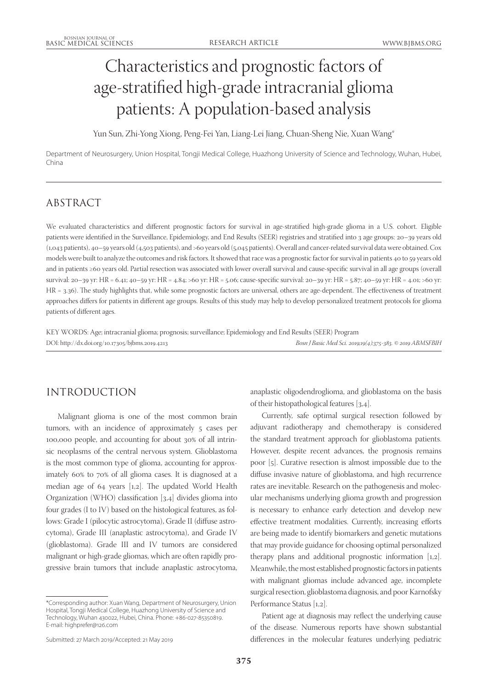# Characteristics and prognostic factors of age-stratified high-grade intracranial glioma patients: A population-based analysis

Yun Sun, Zhi-Yong Xiong, Peng-Fei Yan, Liang-Lei Jiang, Chuan-Sheng Nie, Xuan Wang\*

Department of Neurosurgery, Union Hospital, Tongji Medical College, Huazhong University of Science and Technology, Wuhan, Hubei, China

# ABSTRACT

We evaluated characteristics and different prognostic factors for survival in age-stratified high-grade glioma in a U.S. cohort. Eligible patients were identified in the Surveillance, Epidemiology, and End Results (SEER) registries and stratified into 3 age groups: 20–39 years old (1,043 patients), 40–59 years old (4,503 patients), and >60 years old (5,045 patients). Overall and cancer-related survival data were obtained. Cox models were built to analyze the outcomes and risk factors. It showed that race was a prognostic factor for survival in patients 40 to 59 years old and in patients ≥60 years old. Partial resection was associated with lower overall survival and cause-specific survival in all age groups (overall survival: 20–39 yr: HR = 6.41; 40–59 yr: HR = 4.84; >60 yr: HR = 5.06; cause-specific survival: 20–39 yr: HR = 5.87; 40–59 yr: HR = 4.01; >60 yr: HR = 3.36). The study highlights that, while some prognostic factors are universal, others are age-dependent. The effectiveness of treatment approaches differs for patients in different age groups. Results of this study may help to develop personalized treatment protocols for glioma patients of different ages.

KEY WORDS: Age; intracranial glioma; prognosis; surveillance; Epidemiology and End Results (SEER) Program DOI: http://dx.doi.org/10.17305/bjbms.2019.4213 *Bosn J Basic Med Sci. 2019;19(4):375-383. © 2019 ABMSFBIH*

# INTRODUCTION

Malignant glioma is one of the most common brain tumors, with an incidence of approximately 5 cases per 100,000 people, and accounting for about 30% of all intrinsic neoplasms of the central nervous system. Glioblastoma is the most common type of glioma, accounting for approximately 60% to 70% of all glioma cases. It is diagnosed at a median age of 64 years [1,2]. The updated World Health Organization (WHO) classification [3,4] divides glioma into four grades (I to IV) based on the histological features, as follows: Grade I (pilocytic astrocytoma), Grade II (diffuse astrocytoma), Grade III (anaplastic astrocytoma), and Grade IV (glioblastoma). Grade III and IV tumors are considered malignant or high-grade gliomas, which are often rapidly progressive brain tumors that include anaplastic astrocytoma,

\*Corresponding author: Xuan Wang, Department of Neurosurgery, Union Hospital, Tongji Medical College, Huazhong University of Science and Technology, Wuhan 430022, Hubei, China. Phone: +86-027-85350819. E-mail: highprefer@126.com

anaplastic oligodendroglioma, and glioblastoma on the basis of their histopathological features [3,4].

Currently, safe optimal surgical resection followed by adjuvant radiotherapy and chemotherapy is considered the standard treatment approach for glioblastoma patients. However, despite recent advances, the prognosis remains poor [5]. Curative resection is almost impossible due to the diffuse invasive nature of glioblastoma, and high recurrence rates are inevitable. Research on the pathogenesis and molecular mechanisms underlying glioma growth and progression is necessary to enhance early detection and develop new effective treatment modalities. Currently, increasing efforts are being made to identify biomarkers and genetic mutations that may provide guidance for choosing optimal personalized therapy plans and additional prognostic information [1,2]. Meanwhile, the most established prognostic factors in patients with malignant gliomas include advanced age, incomplete surgical resection, glioblastoma diagnosis, and poor Karnofsky Performance Status [1,2].

Patient age at diagnosis may reflect the underlying cause of the disease. Numerous reports have shown substantial differences in the molecular features underlying pediatric

Submitted: 27 March 2019/Accepted: 21 May 2019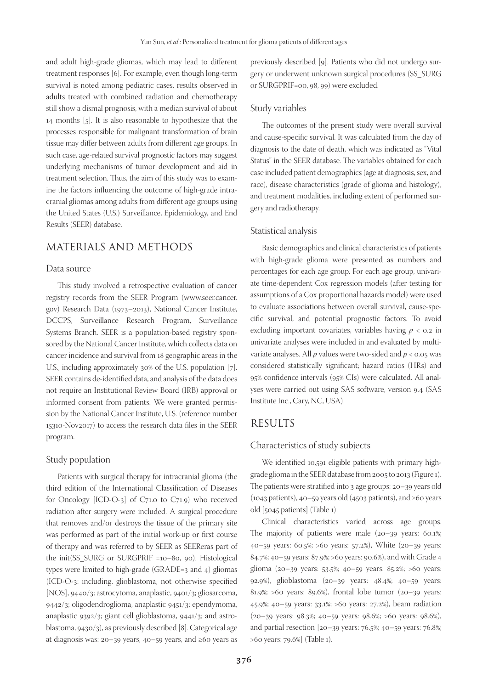and adult high-grade gliomas, which may lead to different treatment responses [6]. For example, even though long-term survival is noted among pediatric cases, results observed in adults treated with combined radiation and chemotherapy still show a dismal prognosis, with a median survival of about 14 months [5]. It is also reasonable to hypothesize that the processes responsible for malignant transformation of brain tissue may differ between adults from different age groups. In such case, age-related survival prognostic factors may suggest underlying mechanisms of tumor development and aid in treatment selection. Thus, the aim of this study was to examine the factors influencing the outcome of high-grade intracranial gliomas among adults from different age groups using the United States (U.S.) Surveillance, Epidemiology, and End Results (SEER) database.

## MATERIALS AND METHODS

#### Data source

This study involved a retrospective evaluation of cancer registry records from the SEER Program (www.seer.cancer. gov) Research Data (1973–2013), National Cancer Institute, DCCPS, Surveillance Research Program, Surveillance Systems Branch. SEER is a population-based registry sponsored by the National Cancer Institute, which collects data on cancer incidence and survival from 18 geographic areas in the U.S., including approximately 30% of the U.S. population [7]. SEER contains de-identified data, and analysis of the data does not require an Institutional Review Board (IRB) approval or informed consent from patients. We were granted permission by the National Cancer Institute, U.S. (reference number 15310-Nov2017) to access the research data files in the SEER program.

#### Study population

Patients with surgical therapy for intracranial glioma (the third edition of the International Classification of Diseases for Oncology [ICD-O-3] of C71.0 to C71.9) who received radiation after surgery were included. A surgical procedure that removes and/or destroys the tissue of the primary site was performed as part of the initial work-up or first course of therapy and was referred to by SEER as SEEReras part of the init(SS\_SURG or SURGPRIF =10~80, 90). Histological types were limited to high-grade (GRADE=3 and 4) gliomas (ICD-O-3: including, glioblastoma, not otherwise specified [NOS], 9440/3; astrocytoma, anaplastic, 9401/3; gliosarcoma, 9442/3; oligodendroglioma, anaplastic 9451/3; ependymoma, anaplastic 9392/3; giant cell glioblastoma, 9441/3; and astroblastoma, 9430/3), as previously described [8]. Categorical age at diagnosis was: 20–39 years, 40–59 years, and ≥60 years as

previously described [9]. Patients who did not undergo surgery or underwent unknown surgical procedures (SS\_SURG or SURGPRIF=00, 98, 99) were excluded.

#### Study variables

The outcomes of the present study were overall survival and cause-specific survival. It was calculated from the day of diagnosis to the date of death, which was indicated as "Vital Status" in the SEER database. The variables obtained for each case included patient demographics (age at diagnosis, sex, and race), disease characteristics (grade of glioma and histology), and treatment modalities, including extent of performed surgery and radiotherapy.

#### Statistical analysis

Basic demographics and clinical characteristics of patients with high-grade glioma were presented as numbers and percentages for each age group. For each age group, univariate time-dependent Cox regression models (after testing for assumptions of a Cox proportional hazards model) were used to evaluate associations between overall survival, cause-specific survival, and potential prognostic factors. To avoid excluding important covariates, variables having  $p < 0.2$  in univariate analyses were included in and evaluated by multivariate analyses. All *p* values were two-sided and *p* < 0.05 was considered statistically significant; hazard ratios (HRs) and 95% confidence intervals (95% CIs) were calculated. All analyses were carried out using SAS software, version 9.4 (SAS Institute Inc., Cary, NC, USA).

#### RESULTS

#### Characteristics of study subjects

We identified 10,591 eligible patients with primary highgrade glioma in the SEER database from 2005 to 2013 (Figure 1). The patients were stratified into 3 age groups: 20–39 years old (1043 patients), 40–59 years old (4503 patients), and ≥60 years old [5045 patients] (Table 1).

Clinical characteristics varied across age groups. The majority of patients were male (20–39 years: 60.1%; 40–59 years: 60.5%; >60 years: 57.2%), White (20–39 years: 84.7%; 40–59 years: 87.9%; >60 years: 90.6%), and with Grade 4 glioma (20–39 years: 53.5%; 40–59 years: 85.2%; >60 years: 92.9%), glioblastoma (20–39 years: 48.4%; 40–59 years: 81.9%; >60 years: 89.6%), frontal lobe tumor  $(20-39)$  years: 45.9%; 40–59 years: 33.1%; >60 years: 27.2%), beam radiation (20–39 years: 98.3%; 40–59 years: 98.6%; >60 years: 98.6%), and partial resection [20–39 years: 76.5%; 40–59 years: 76.8%; >60 years: 79.6%] (Table 1).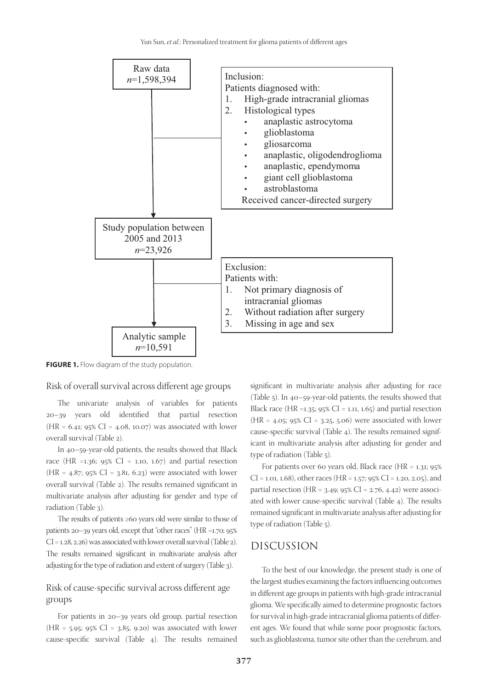

**FIGURE 1.** Flow diagram of the study population.

Risk of overall survival across different age groups

The univariate analysis of variables for patients 20–39 years old identified that partial resection  $(HR = 6.41; 95\% \text{ CI} = 4.08, 10.07)$  was associated with lower overall survival (Table 2).

In 40–59-year-old patients, the results showed that Black race (HR =1.36;  $95\%$  CI = 1.10, 1.67) and partial resection  $(HR = 4.87; 95\% \text{ CI} = 3.81, 6.23)$  were associated with lower overall survival (Table 2). The results remained significant in multivariate analysis after adjusting for gender and type of radiation (Table 3).

The results of patients ≥60 years old were similar to those of patients 20–39 years old, except that "other races" (HR =1.70; 95% CI = 1.28, 2.26) was associated with lower overall survival (Table 2). The results remained significant in multivariate analysis after adjusting for the type of radiation and extent of surgery (Table 3).

## Risk of cause-specific survival across different age groups

For patients in 20–39 years old group, partial resection  $(HR = 5.95; 95\% CI = 3.85, 9.20)$  was associated with lower cause-specific survival (Table 4). The results remained

significant in multivariate analysis after adjusting for race (Table 5). In 40–59-year-old patients, the results showed that Black race (HR =1.35; 95% CI = 1.11, 1.65) and partial resection  $(HR = 4.05; 95\% \text{ CI} = 3.25, 5.06)$  were associated with lower cause-specific survival (Table 4). The results remained significant in multivariate analysis after adjusting for gender and type of radiation (Table 5).

For patients over 60 years old, Black race (HR =  $1.31$ ;  $95\%$  $CI = 1.01, 1.68$ , other races (HR = 1.57; 95% CI = 1.20, 2.05), and partial resection (HR =  $3.49$ ;  $95\%$  CI =  $2.76$ ,  $4.42$ ) were associated with lower cause-specific survival (Table 4). The results remained significant in multivariate analysis after adjusting for type of radiation (Table 5).

### DISCUSSION

To the best of our knowledge, the present study is one of the largest studies examining the factors influencing outcomes in different age groups in patients with high-grade intracranial glioma. We specifically aimed to determine prognostic factors for survival in high-grade intracranial glioma patients of different ages. We found that while some poor prognostic factors, such as glioblastoma, tumor site other than the cerebrum, and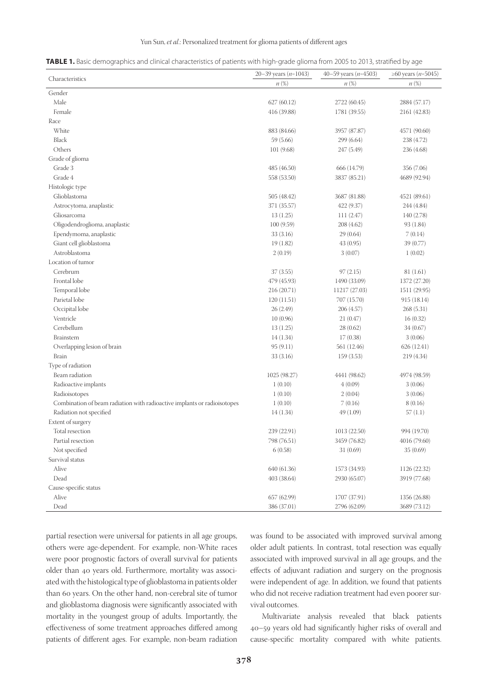#### Yun Sun, *et al*.: Personalized treatment for glioma patients of different ages

| TABLE 1. Basic demographics and clinical characteristics of patients with high-grade glioma from 2005 to 2013, stratified by age |  |  |
|----------------------------------------------------------------------------------------------------------------------------------|--|--|
|                                                                                                                                  |  |  |

|                                                                          | 20-39 years ( $n=1043$ ) | 40–59 years ( <i>n</i> =4503) | ≥60 years ( <i>n</i> =5045) |
|--------------------------------------------------------------------------|--------------------------|-------------------------------|-----------------------------|
| Characteristics                                                          | $n(\%)$                  | $n(\%)$                       | $n(\%)$                     |
| Gender                                                                   |                          |                               |                             |
| Male                                                                     | 627(60.12)               | 2722 (60.45)                  | 2884 (57.17)                |
| Female                                                                   | 416 (39.88)              | 1781 (39.55)                  | 2161 (42.83)                |
| Race                                                                     |                          |                               |                             |
| White                                                                    | 883 (84.66)              | 3957 (87.87)                  | 4571 (90.60)                |
| Black                                                                    | 59 (5.66)                | 299 (6.64)                    | 238 (4.72)                  |
| Others                                                                   | 101(9.68)                | 247 (5.49)                    | 236 (4.68)                  |
| Grade of glioma                                                          |                          |                               |                             |
| Grade 3                                                                  | 485 (46.50)              | 666 (14.79)                   | 356 (7.06)                  |
| Grade 4                                                                  | 558 (53.50)              | 3837 (85.21)                  | 4689 (92.94)                |
| Histologic type                                                          |                          |                               |                             |
| Glioblastoma                                                             | 505 (48.42)              | 3687 (81.88)                  | 4521 (89.61)                |
| Astrocytoma, anaplastic                                                  | 371 (35.57)              | 422(9.37)                     | 244 (4.84)                  |
| Gliosarcoma                                                              | 13(1.25)                 | 111(2.47)                     | 140 (2.78)                  |
| Oligodendroglioma, anaplastic                                            | 100(9.59)                | 208 (4.62)                    | 93 (1.84)                   |
| Ependymoma, anaplastic                                                   | 33(3.16)                 | 29(0.64)                      | 7(0.14)                     |
| Giant cell glioblastoma                                                  | 19(1.82)                 | 43(0.95)                      | 39 (0.77)                   |
| Astroblastoma                                                            | 2(0.19)                  | 3(0.07)                       | 1(0.02)                     |
| Location of tumor                                                        |                          |                               |                             |
| Cerebrum                                                                 | 37(3.55)                 | 97(2.15)                      | 81 (1.61)                   |
| Frontal lobe                                                             | 479 (45.93)              | 1490 (33.09)                  | 1372 (27.20)                |
| Temporal lobe                                                            | 216 (20.71)              | 11217 (27.03)                 | 1511 (29.95)                |
| Parietal lobe                                                            | 120(11.51)               | 707 (15.70)                   | 915 (18.14)                 |
| Occipital lobe                                                           | 26(2.49)                 | 206 (4.57)                    | 268(5.31)                   |
| Ventricle                                                                | 10(0.96)                 | 21(0.47)                      | 16(0.32)                    |
| Cerebellum                                                               | 13(1.25)                 | 28(0.62)                      | 34(0.67)                    |
| Brainstem                                                                | 14(1.34)                 | 17(0.38)                      | 3(0.06)                     |
| Overlapping lesion of brain                                              | 95(9.11)                 | 561 (12.46)                   | 626(12.41)                  |
| <b>Brain</b>                                                             | 33(3.16)                 | 159(3.53)                     | 219 (4.34)                  |
| Type of radiation                                                        |                          |                               |                             |
| Beam radiation                                                           | 1025 (98.27)             | 4441 (98.62)                  | 4974 (98.59)                |
| Radioactive implants                                                     | 1(0.10)                  | 4(0.09)                       | 3(0.06)                     |
| Radioisotopes                                                            | 1(0.10)                  | 2(0.04)                       | 3(0.06)                     |
| Combination of beam radiation with radioactive implants or radioisotopes | 1(0.10)                  | 7(0.16)                       | 8(0.16)                     |
| Radiation not specified                                                  | 14(1.34)                 | 49 (1.09)                     | 57(1.1)                     |
| Extent of surgery                                                        |                          |                               |                             |
| Total resection                                                          | 239 (22.91)              | 1013 (22.50)                  | 994 (19.70)                 |
| Partial resection                                                        | 798 (76.51)              | 3459 (76.82)                  | 4016 (79.60)                |
| Not specified                                                            | 6(0.58)                  | 31(0.69)                      | 35(0.69)                    |
| Survival status                                                          |                          |                               |                             |
| Alive                                                                    | 640 (61.36)              | 1573 (34.93)                  | 1126 (22.32)                |
| Dead                                                                     | 403 (38.64)              | 2930 (65.07)                  | 3919 (77.68)                |
| Cause-specific status                                                    |                          |                               |                             |
| Alive                                                                    | 657 (62.99)              | 1707 (37.91)                  | 1356 (26.88)                |
| Dead                                                                     | 386 (37.01)              | 2796 (62.09)                  | 3689 (73.12)                |

partial resection were universal for patients in all age groups, others were age-dependent. For example, non-White races were poor prognostic factors of overall survival for patients older than 40 years old. Furthermore, mortality was associated with the histological type of glioblastoma in patients older than 60 years. On the other hand, non-cerebral site of tumor and glioblastoma diagnosis were significantly associated with mortality in the youngest group of adults. Importantly, the effectiveness of some treatment approaches differed among patients of different ages. For example, non-beam radiation

was found to be associated with improved survival among older adult patients. In contrast, total resection was equally associated with improved survival in all age groups, and the effects of adjuvant radiation and surgery on the prognosis were independent of age. In addition, we found that patients who did not receive radiation treatment had even poorer survival outcomes.

Multivariate analysis revealed that black patients 40–59 years old had significantly higher risks of overall and cause-specific mortality compared with white patients.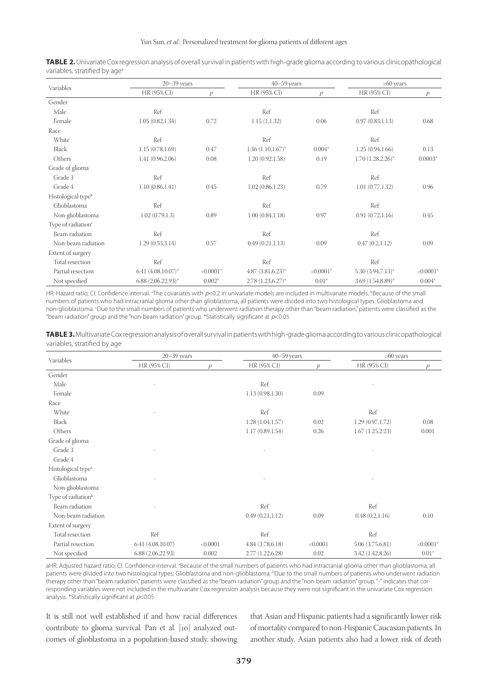|                                | $20 - 39$ years         |               | $40 - 59$ years        |               | $\geq 60$ years      |               |
|--------------------------------|-------------------------|---------------|------------------------|---------------|----------------------|---------------|
| Variables                      | HR (95% CI)             | $\mathcal{D}$ | HR (95% CI)            | $\mathcal{D}$ | HR (95% CI)          | $\mathcal{P}$ |
| Gender                         |                         |               |                        |               |                      |               |
| Male                           | Ref                     |               | Ref                    |               | Ref                  |               |
| Female                         | 1.05(0.82, 1.34)        | 0.72          | 1.15(1,1.32)           | 0.06          | 0.97(0.83, 1.13)     | 0.68          |
| Race                           |                         |               |                        |               |                      |               |
| White                          | Ref                     |               | Ref                    |               | Ref                  |               |
| <b>Black</b>                   | 1.15(0.78, 1.69)        | 0.47          | $1.36(1.10, 1.67)^*$   | $0.004*$      | 1.25(0.94, 1.66)     | 0.13          |
| Others                         | 1.41 (0.96,2.06)        | 0.08          | 1.20(0.92, 1.58)       | 0.19          | $1.70(1.28, 2.26)^*$ | $0.0003*$     |
| Grade of glioma                |                         |               |                        |               |                      |               |
| Grade 3                        | Ref                     |               | Ref                    |               | Ref                  |               |
| Grade 4                        | 1.10(0.86, 1.41)        | 0.45          | 1.02(0.86, 1.23)       | 0.79          | 1.01(0.77, 1.32)     | 0.96          |
| Histological type <sup>b</sup> |                         |               |                        |               |                      |               |
| Glioblastoma                   | Ref                     |               | Ref                    |               | Ref                  |               |
| Non-glioblastoma               | 1.02(0.79, 1.3)         | 0.89          | 1.00(0.84, 1.18)       | 0.97          | 0.91(0.72, 1.16)     | 0.45          |
| Type of radiation <sup>c</sup> |                         |               |                        |               |                      |               |
| Beam radiation                 | Ref                     |               | Ref                    |               | Ref                  |               |
| Non-beam radiation             | 1.29(0.53,3.14)         | 0.57          | 0.49(0.21, 1.13)       | 0.09          | 0.47(0.2, 1.12)      | 0.09          |
| Extent of surgery              |                         |               |                        |               |                      |               |
| Total resection                | Ref                     |               | Ref                    |               | Ref                  |               |
| Partial resection              | 6.41 $(4.08,10.07)$ *   | $< 0.0001$ *  | $4.87$ $(3.81,6.23)$ * | $< 0.0001*$   | $5.30(3.94,7.13)^*$  | $< 0.0001*$   |
| Not specified                  | $6.88$ $(2.06,22.93)$ * | $0.002*$      | $2.78(1.23, 6.27)^*$   | $0.01*$       | $3.69(1.54, 8.89)^*$ | $0.004*$      |

**TABLE 2.**Univariate Cox regression analysis of overall survival in patients with high-grade glioma according to various clinicopathological variables, stratified by age<sup>a</sup>

HR: Hazard ratio; CI: Confidence interval. <sup>a</sup>The covariates with p<0.2 in univariate models are included in multivariate models. <sup>b</sup>Because of the small numbers of patients who had intracranial glioma other than glioblastoma, all patients were divided into two histological types: Glioblastoma and non-glioblastoma. c Due to the small numbers of patients who underwent radiation therapy other than "beam radiation," patients were classified as the "beam radiation" group and the "non-beam radiation" group. \*Statistically significant at  $p<0.05$ 

**TABLE 3.**Multivariate Cox regression analysis of overall survival in patients with high-grade glioma according to various clinicopathological variables, stratified by age

|                                | $20 - 39$ years  |          | $40 - 59$ years  |               | $\geq 60$ years  |               |
|--------------------------------|------------------|----------|------------------|---------------|------------------|---------------|
| Variables                      | HR (95% CI)      | Ď        | HR (95% CI)      | $\mathcal{D}$ | HR (95% CI)      | $\mathcal{P}$ |
| Gender                         |                  |          |                  |               |                  |               |
| Male                           |                  |          | Ref              |               |                  |               |
| Female                         |                  |          | 1.13(0.98, 1.30) | 0.09          |                  |               |
| Race                           |                  |          |                  |               |                  |               |
| White                          |                  |          | Ref              |               | Ref              |               |
| <b>Black</b>                   |                  |          | 1.28(1.04, 1.57) | 0.02          | 1.29(0.97, 1.72) | 0.08          |
| Others                         |                  |          | 1.17(0.89, 1.54) | 0.26          | 1.67(1.25, 2.23) | 0.001         |
| Grade of glioma                |                  |          |                  |               |                  |               |
| Grade 3                        |                  |          |                  |               |                  |               |
| Grade 4                        |                  |          |                  |               |                  |               |
| Histological type <sup>a</sup> |                  |          |                  |               |                  |               |
| Glioblastoma                   |                  |          |                  |               |                  |               |
| Non-glioblastoma               |                  |          |                  |               |                  |               |
| Type of radiation <sup>b</sup> |                  |          |                  |               |                  |               |
| Beam radiation                 |                  |          | Ref              |               | Ref              |               |
| Non-beam radiation             |                  |          | 0.49(0.21, 1.12) | 0.09          | 0.48(0.2, 1.16)  | 0.10          |
| Extent of surgery              |                  |          |                  |               |                  |               |
| Total resection                | Ref              |          | Ref              |               | Ref              |               |
| Partial resection              | 6.41(4.08,10.07) | < 0.0001 | 4.84(3.78,6.18)  | < 0.0001      | 5.06(3.75,6.81)  | $< 0.0001*$   |
| Not specified                  | 6.88(2.06,22.93) | 0.002    | 2.77 (1.22,6.28) | 0.02          | 3.42 (1.42,8.26) | $0.01*$       |

aHR: Adjusted hazard ratio; CI: Confidence interval. <sup>a</sup>Because of the small numbers of patients who had intracranial glioma other than glioblastoma, all patients were divided into two histological types: Glioblastoma and non-glioblastoma. <sup>b</sup>Due to the small numbers of patients who underwent radiation therapy other than "beam radiation," patients were classified as the "beam radiation" group and the "non-beam radiation" group. "-" indicates that corresponding variables were not included in the multivariate Cox regression analysis because they were not significant in the univariate Cox regression analysis. \*Statistically significant at  $p<0.05$ 

It is still not well established if and how racial differences contribute to glioma survival. Pan et al. [10] analyzed outcomes of glioblastoma in a population-based study, showing that Asian and Hispanic patients had a significantly lower risk of mortality compared to non-Hispanic Caucasian patients. In another study, Asian patients also had a lower risk of death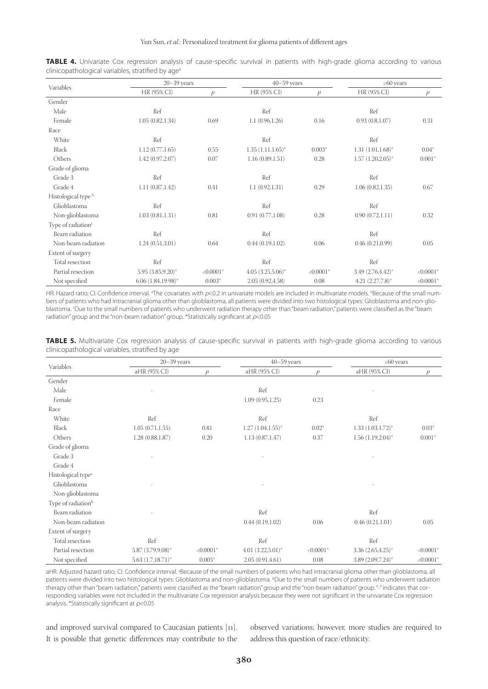|                                | $20 - 39$ years                     |               | $40 - 59$ years      |                          | $\geq 60$ years      |               |  |
|--------------------------------|-------------------------------------|---------------|----------------------|--------------------------|----------------------|---------------|--|
| Variables                      | HR (95% CI)                         | $\mathcal{D}$ | HR (95% CI)          | $\mathcal{D}$            | HR (95% CI)          | $\mathcal{P}$ |  |
| Gender                         |                                     |               |                      |                          |                      |               |  |
| Male                           | Ref                                 |               | Ref                  |                          | Ref                  |               |  |
| Female                         | 1.05(0.82, 1.34)                    | 0.69          | 1.1(0.96, 1.26)      | 0.16                     | 0.93(0.8, 1.07)      | 0.31          |  |
| Race                           |                                     |               |                      |                          |                      |               |  |
| White                          | Ref                                 |               | Ref                  |                          | Ref                  |               |  |
| <b>Black</b>                   | 1.12(0.77, 1.65)                    | 0.55          | $1.35(1.11, 1.65)^*$ | $0.003*$                 | $1.31(1.01, 1.68)^*$ | $0.04*$       |  |
| Others                         | 1.42(0.97, 2.07)                    | 0.07          | 1.16(0.89, 1.51)     | 0.28                     | $1.57(1.20,2.05)^*$  | $0.001*$      |  |
| Grade of glioma                |                                     |               |                      |                          |                      |               |  |
| Grade 3                        | Ref                                 |               | Ref                  |                          | Ref                  |               |  |
| Grade 4                        | 1.11(0.87, 1.42)                    | 0.41          | 1.1(0.92, 1.31)      | 0.29<br>1.06(0.82, 1.35) |                      | 0.67          |  |
| Histological type <sup>b</sup> |                                     |               |                      |                          |                      |               |  |
| Glioblastoma                   | Ref                                 |               | Ref                  |                          | Ref                  |               |  |
| Non-glioblastoma               | 1.03(0.81, 1.31)                    | 0.81          | 0.91(0.77,1.08)      | 0.28                     | 0.90(0.72, 1.11)     | 0.32          |  |
| Type of radiation <sup>c</sup> |                                     |               |                      |                          |                      |               |  |
| Beam radiation                 | Ref                                 |               | Ref                  |                          | Ref                  |               |  |
| Non-beam radiation             | 1.24(0.51,3.01)                     | 0.64          | 0.44(0.19,1.02)      | 0.06                     | 0.46(0.21, 0.99)     | 0.05          |  |
| Extent of surgery              |                                     |               |                      |                          |                      |               |  |
| Total resection                | Ref                                 |               | Ref                  |                          | Ref                  |               |  |
| Partial resection              | $5.95(3.85, 9.20)$ *                | $< 0.0001*$   | $4.05(3.25,5.06)^*$  | $< 0.0001$ *             | 3.49 (2.76,4.42)*    | $< 0.0001*$   |  |
| Not specified                  | $6.06$ $(1.84, 19.98)$ <sup>*</sup> | $0.003*$      | 2.05(0.92, 4.58)     | 0.08                     | $4.21 (2.27,7.8)^*$  | $< 0.0001$ *  |  |

**TABLE 4.** Univariate Cox regression analysis of cause-specific survival in patients with high-grade glioma according to various clinicopathological variables, stratified by age<sup>a</sup>

HR: Hazard ratio; CI: Confidence interval. <sup>a</sup>The covariates with p<0.2 in univariate models are included in multivariate models. <sup>b</sup>Because of the small numbers of patients who had intracranial glioma other than glioblastoma, all patients were divided into two histological types: Glioblastoma and non-glioblastoma. c Due to the small numbers of patients who underwent radiation therapy other than "beam radiation," patients were classified as the "beam radiation" group and the "non-beam radiation" group. \*Statistically significant at  $p<0.05$ 

| TABLE 5. Multivariate Cox regression analysis of cause-specific survival in patients with high-grade glioma according to various |  |  |  |  |  |
|----------------------------------------------------------------------------------------------------------------------------------|--|--|--|--|--|
| clinicopathological variables, stratified by age                                                                                 |  |  |  |  |  |

| Variables                      |                      | $20 - 39$ years |                      | $40 - 59$ years | $\geq 60$ years      |               |
|--------------------------------|----------------------|-----------------|----------------------|-----------------|----------------------|---------------|
|                                | aHR (95% CI)         | $\mathcal{D}$   | aHR (95% CI)         | $\mathcal{D}$   | aHR (95% CI)         | $\mathcal{P}$ |
| Gender                         |                      |                 |                      |                 |                      |               |
| Male                           |                      |                 | Ref                  |                 |                      |               |
| Female                         |                      |                 | 1.09(0.95, 1.25)     | 0.23            |                      |               |
| Race                           |                      |                 |                      |                 |                      |               |
| White                          | Ref                  |                 | Ref                  |                 | Ref                  |               |
| <b>Black</b>                   | 1.05(0.71, 1.55)     | 0.81            | $1.27(1.04, 1.55)^*$ | $0.02*$         | $1.33(1.03, 1.72)^*$ | $0.03*$       |
| Others                         | 1.28(0.88, 1.87)     | 0.20            | 1.13(0.87, 1.47)     | 0.37            | $1.56(1.19,2.04)^*$  | $0.001*$      |
| Grade of glioma                |                      |                 |                      |                 |                      |               |
| Grade 3                        |                      |                 |                      |                 |                      |               |
| Grade 4                        |                      |                 |                      |                 |                      |               |
| Histological type <sup>a</sup> |                      |                 |                      |                 |                      |               |
| Glioblastoma                   |                      |                 |                      |                 |                      |               |
| Non-glioblastoma               |                      |                 |                      |                 |                      |               |
| Type of radiation <sup>b</sup> |                      |                 |                      |                 |                      |               |
| Beam radiation                 |                      |                 | Ref                  |                 | Ref                  |               |
| Non-beam radiation             |                      |                 | 0.44(0.19,1.02)      | 0.06            | 0.46(0.21, 1.01)     | 0.05          |
| Extent of surgery              |                      |                 |                      |                 |                      |               |
| Total resection                | Ref                  |                 | Ref                  |                 | Ref                  |               |
| Partial resection              | 5.87 (3.79,9.08)*    | $< 0.0001*$     | $4.01(3.22,5.01)^*$  | $< 0.0001*$     | $3.36(2.65, 4.25)^*$ | $< 0.0001*$   |
| Not specified                  | $5.63(1.7, 18.71)^*$ | $0.005*$        | 2.05(0.91, 4.61)     | 0.08            | 3.89 (2.09,7.24)*    | $< 0.0001*$   |

aHR: Adjusted hazard ratio; CI: Confidence interval. <sup>a</sup>Because of the small numbers of patients who had intracranial glioma other than glioblastoma, all patients were divided into two histological types: Glioblastoma and non-glioblastoma. <sup>b</sup>Due to the small numbers of patients who underwent radiation therapy other than "beam radiation," patients were classified as the "beam radiation" group and the "non-beam radiation" group. "-" indicates that corresponding variables were not included in the multivariate Cox regression analysis because they were not significant in the univariate Cox regression analysis. \*Statistically significant at  $p<$  0.05

and improved survival compared to Caucasian patients [11]. It is possible that genetic differences may contribute to the observed variations; however, more studies are required to address this question of race/ethnicity.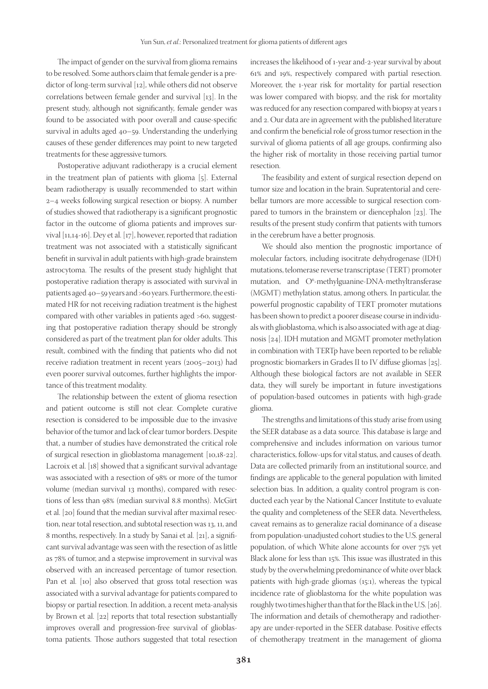The impact of gender on the survival from glioma remains to be resolved. Some authors claim that female gender is a predictor of long-term survival [12], while others did not observe correlations between female gender and survival [13]. In the present study, although not significantly, female gender was found to be associated with poor overall and cause-specific survival in adults aged 40–59. Understanding the underlying causes of these gender differences may point to new targeted treatments for these aggressive tumors.

Postoperative adjuvant radiotherapy is a crucial element in the treatment plan of patients with glioma [5]. External beam radiotherapy is usually recommended to start within 2–4 weeks following surgical resection or biopsy. A number of studies showed that radiotherapy is a significant prognostic factor in the outcome of glioma patients and improves survival [11,14-16]. Dey et al. [17], however, reported that radiation treatment was not associated with a statistically significant benefit in survival in adult patients with high-grade brainstem astrocytoma. The results of the present study highlight that postoperative radiation therapy is associated with survival in patients aged 40–59 years and >60 years. Furthermore, the estimated HR for not receiving radiation treatment is the highest compared with other variables in patients aged >60, suggesting that postoperative radiation therapy should be strongly considered as part of the treatment plan for older adults. This result, combined with the finding that patients who did not receive radiation treatment in recent years (2005–2013) had even poorer survival outcomes, further highlights the importance of this treatment modality.

The relationship between the extent of glioma resection and patient outcome is still not clear. Complete curative resection is considered to be impossible due to the invasive behavior of the tumor and lack of clear tumor borders. Despite that, a number of studies have demonstrated the critical role of surgical resection in glioblastoma management [10,18-22]. Lacroix et al. [18] showed that a significant survival advantage was associated with a resection of 98% or more of the tumor volume (median survival 13 months), compared with resections of less than 98% (median survival 8.8 months). McGirt et al. [20] found that the median survival after maximal resection, near total resection, and subtotal resection was 13, 11, and 8 months, respectively. In a study by Sanai et al. [21], a significant survival advantage was seen with the resection of as little as 78% of tumor, and a stepwise improvement in survival was observed with an increased percentage of tumor resection. Pan et al. [10] also observed that gross total resection was associated with a survival advantage for patients compared to biopsy or partial resection. In addition, a recent meta-analysis by Brown et al. [22] reports that total resection substantially improves overall and progression-free survival of glioblastoma patients. Those authors suggested that total resection

increases the likelihood of 1-year and-2-year survival by about 61% and 19%, respectively compared with partial resection. Moreover, the 1-year risk for mortality for partial resection was lower compared with biopsy, and the risk for mortality was reduced for any resection compared with biopsy at years 1 and 2. Our data are in agreement with the published literature and confirm the beneficial role of gross tumor resection in the survival of glioma patients of all age groups, confirming also the higher risk of mortality in those receiving partial tumor resection.

The feasibility and extent of surgical resection depend on tumor size and location in the brain. Supratentorial and cerebellar tumors are more accessible to surgical resection compared to tumors in the brainstem or diencephalon [23]. The results of the present study confirm that patients with tumors in the cerebrum have a better prognosis.

We should also mention the prognostic importance of molecular factors, including isocitrate dehydrogenase (IDH) mutations, telomerase reverse transcriptase (TERT) promoter mutation, and O<sup>6</sup>-methylguanine-DNA-methyltransferase (MGMT) methylation status, among others. In particular, the powerful prognostic capability of TERT promoter mutations has been shown to predict a poorer disease course in individuals with glioblastoma, which is also associated with age at diagnosis [24]. IDH mutation and MGMT promoter methylation in combination with TERTp have been reported to be reliable prognostic biomarkers in Grades II to IV diffuse gliomas [25]. Although these biological factors are not available in SEER data, they will surely be important in future investigations of population-based outcomes in patients with high-grade glioma.

The strengths and limitations of this study arise from using the SEER database as a data source. This database is large and comprehensive and includes information on various tumor characteristics, follow-ups for vital status, and causes of death. Data are collected primarily from an institutional source, and findings are applicable to the general population with limited selection bias. In addition, a quality control program is conducted each year by the National Cancer Institute to evaluate the quality and completeness of the SEER data. Nevertheless, caveat remains as to generalize racial dominance of a disease from population-unadjusted cohort studies to the U.S. general population, of which White alone accounts for over 75% yet Black alone for less than 15%. This issue was illustrated in this study by the overwhelming predominance of white over black patients with high-grade gliomas (15:1), whereas the typical incidence rate of glioblastoma for the white population was roughly two times higher than that for the Black in the U.S. [26]. The information and details of chemotherapy and radiotherapy are under-reported in the SEER database. Positive effects of chemotherapy treatment in the management of glioma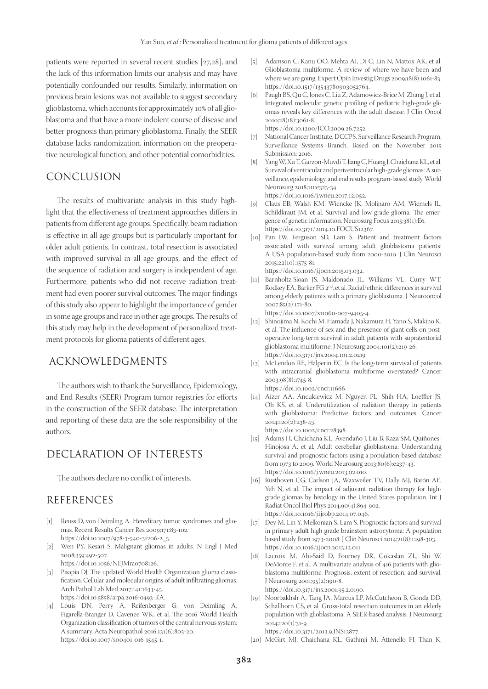patients were reported in several recent studies [27,28], and the lack of this information limits our analysis and may have potentially confounded our results. Similarly, information on previous brain lesions was not available to suggest secondary glioblastoma, which accounts for approximately 10% of all glioblastoma and that have a more indolent course of disease and better prognosis than primary glioblastoma. Finally, the SEER database lacks randomization, information on the preoperative neurological function, and other potential comorbidities.

## CONCLUSION

The results of multivariate analysis in this study highlight that the effectiveness of treatment approaches differs in patients from different age groups. Specifically, beam radiation is effective in all age groups but is particularly important for older adult patients. In contrast, total resection is associated with improved survival in all age groups, and the effect of the sequence of radiation and surgery is independent of age. Furthermore, patients who did not receive radiation treatment had even poorer survival outcomes. The major findings of this study also appear to highlight the importance of gender in some age groups and race in other age groups. The results of this study may help in the development of personalized treatment protocols for glioma patients of different ages.

## ACKNOWLEDGMENTS

The authors wish to thank the Surveillance, Epidemiology, and End Results (SEER) Program tumor registries for efforts in the construction of the SEER database. The interpretation and reporting of these data are the sole responsibility of the authors.

# DECLARATION OF INTERESTS

The authors declare no conflict of interests.

## REFERENCES

- [1] Reuss D, von Deimling A. Hereditary tumor syndromes and gliomas. Recent Results Cancer Res 2009;171:83-102. https://doi.10.1007/978-3-540-31206-2\_5.
- [2] Wen PY, Kesari S. Malignant gliomas in adults. N Engl J Med 2008;359:492-507. https://doi.10.1056/NEJMra0708126.
- [3] Pisapia DJ. The updated World Health Organization glioma classification: Cellular and molecular origins of adult infiltrating gliomas. Arch Pathol Lab Med 2017;141:1633-45. https://doi.10.5858/arpa.2016-0493-RA.
- [4] Louis DN, Perry A, Reifenberger G, von Deimling A, Figarella-Branger D, Cavenee WK, et al. The 2016 World Health Organization classification of tumors of the central nervous system: A summary. Acta Neuropathol 2016;131(6):803-20. https://doi.10.1007/s00401-016-1545-1.
- [5] Adamson C, Kanu OO, Mehta AI, Di C, Lin N, Mattox AK, et al. Glioblastoma multiforme: A review of where we have been and where we are going. Expert Opin Investig Drugs 2009;18(8):1061-83. https://doi.10.1517/13543780903052764.
- [6] Paugh BS, Qu C, Jones C, Liu Z, Adamowicz-Brice M, Zhang J, et al. Integrated molecular genetic profiling of pediatric high-grade gliomas reveals key differences with the adult disease. J Clin Oncol 2010;28(18):3061-8.

https://doi.10.1200/JCO.2009.26.7252.

- [7] National Cancer Institute, DCCPS, Surveillance Research Program, Surveillance Systems Branch. Based on the November 2015 Submission; 2016.
- [8] Yang W, Xu T, Garzon-Muvdi T, Jiang C, Huang J, Chaichana KL, et al. Survival of ventricular and periventricular high-grade gliomas: A surveillance, epidemiology, and end results program-based study. World Neurosurg 2018;111:e323-34. https://doi.10.1016/j.wneu.2017.12.052.
- [9] Claus EB, Walsh KM, Wiencke JK, Molinaro AM, Wiemels JL, Schildkraut JM, et al. Survival and low-grade glioma: The emergence of genetic information. Neurosurg Focus 2015;38(1):E6. https://doi.10.3171/2014.10.FOCUS12367.
- [10] Pan IW, Ferguson SD, Lam S. Patient and treatment factors associated with survival among adult glioblastoma patients: A USA population-based study from 2000-2010. J Clin Neurosci  $2015;22(10):1575-81.$ https://doi.10.1016/j.jocn.2015.03.032.
- [11] Barnholtz-Sloan JS, Maldonado JL, Williams VL, Curry WT, Rodkey EA, Barker FG 2<sup>nd</sup>, et al. Racial/ethnic differences in survival among elderly patients with a primary glioblastoma. J Neurooncol 2007;85(2):171-80.

https://doi.10.1007/s11060-007-9405-4.

- [12] Shinojima N, Kochi M, Hamada J, Nakamura H, Yano S, Makino K, et al. The influence of sex and the presence of giant cells on postoperative long-term survival in adult patients with supratentorial glioblastoma multiforme. J Neurosurg 2004;101(2):219-26. https://doi.10.3171/jns.2004.101.2.0219.
- [13] McLendon RE, Halperin EC. Is the long-term survival of patients with intracranial glioblastoma multiforme overstated? Cancer 2003;98(8):1745-8.
- https://doi.10.1002/cncr.11666.
- [14] Aizer AA, Ancukiewicz M, Nguyen PL, Shih HA, Loeffler JS, Oh KS, et al. Underutilization of radiation therapy in patients with glioblastoma: Predictive factors and outcomes. Cancer 2014;120(2):238-43. https://doi.10.1002/cncr.28398.
- [15] Adams H, Chaichana KL, Avendaño J, Liu B, Raza SM, Quiñones-Hinojosa A, et al. Adult cerebellar glioblastoma: Understanding survival and prognostic factors using a population-based database from 1973 to 2009. World Neurosurg 2013;80(6):e237-43. https://doi.10.1016/j.wneu.2013.02.010.
- [16] Rusthoven CG, Carlson JA, Waxweiler TV, Dally MJ, Barón AE, Yeh N, et al. The impact of adjuvant radiation therapy for highgrade gliomas by histology in the United States population. Int J Radiat Oncol Biol Phys 2014;90(4):894-902. https://doi.10.1016/j.ijrobp.2014.07.046.
- [17] Dey M, Lin Y, Melkonian S, Lam S. Prognostic factors and survival in primary adult high grade brainstem astrocytoma: A population based study from 1973-2008. J Clin Neurosci 2014;21(8):1298-303. https://doi.10.1016/j.jocn.2013.12.011.
- [18] Lacroix M, Abi-Said D, Fourney DR, Gokaslan ZL, Shi W, DeMonte F, et al. A multivariate analysis of 416 patients with glioblastoma multiforme: Prognosis, extent of resection, and survival. J Neurosurg 2001;95(2):190-8. https://doi.10.3171/jns.2001.95.2.0190.
- [19] Noorbakhsh A, Tang JA, Marcus LP, McCutcheon B, Gonda DD, Schallhorn CS, et al. Gross-total resection outcomes in an elderly population with glioblastoma: A SEER-based analysis. J Neurosurg 2014;120(1):31-9. https://doi.10.3171/2013.9.JNS13877.

<sup>[20]</sup> McGirt MJ, Chaichana KL, Gathinji M, Attenello FJ, Than K,